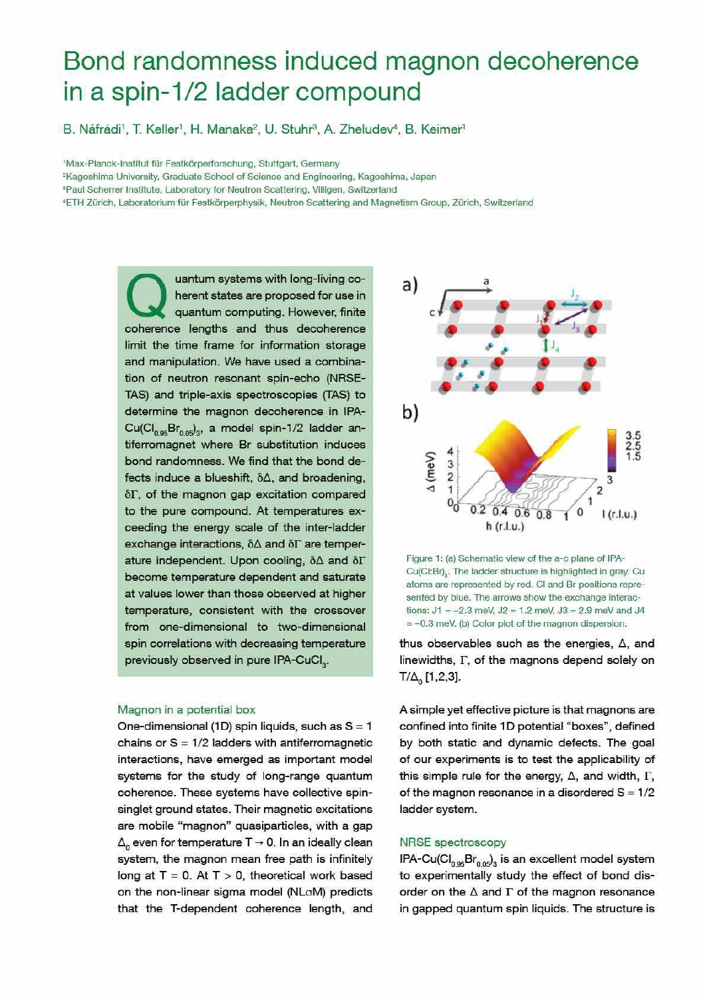# Bond randomness induced magnon decoherence in a spin-1/2 ladder compound

B. Náfrádi<sup>1</sup>, T. Keller<sup>1</sup>, H. Manaka<sup>2</sup>, U. Stuhr<sup>3</sup>, A. Zheludev<sup>4</sup>, B. Keimer<sup>1</sup>

<sup>1</sup>Max-Planck-Institut für Festkörperforschung, Stuttgart, Germany

<sup>2</sup>Kagoshima University, Graduate School of Science and Engineering, Kagoshima, Japan

<sup>3</sup>Paul Scherrer Institute, Laboratory for Neutron Scattering, Villigen, Switzerland

<sup>4</sup>ETH Zürich, Laboratorium für Festkörperphysik, Neutron Scattering and Magnetism Group, Zürich, Switzerland

uantum systems with long-living coherent states are proposed for use in quantum computing. However, finite coherence lengths and thus decoherence limit the time frame for information storage and manipulation. We have used a combination of neutron resonant spin-echo (NRSE-TAS) and triple-axis spectroscopies (TAS) to determine the magnon decoherence in IPA-Cu(Cl<sub>0.95</sub>Br<sub>0.05</sub>)<sub>3</sub>, a model spin-1/2 ladder antiferromagnet where Br substitution induces bond randomness. We find that the bond defects induce a blueshift, δΔ, and broadening, δΓ, of the magnon gap excitation compared to the pure compound. At temperatures exceeding the energy scale of the inter-ladder exchange interactions, δΔ and δΓ are temperature independent. Upon cooling, δΔ and δΓ become temperature dependent and saturate at values lower than those observed at higher temperature, consistent with the crossover from one-dimensional to two-dimensional spin correlations with decreasing temperature previously observed in pure IPA-CuCl<sub>2</sub>.

#### Magnon in a potential box

One-dimensional (1D) spin liquids, such as  $S = 1$ chains or  $S = 1/2$  ladders with antiferromagnetic interactions, have emerged as important model systems for the study of long-range quantum coherence. These systems have collective spinsinglet ground states. Their magnetic excitations are mobile "magnon" quasiparticles, with a gap  $\Delta_{0}$  even for temperature T  $\rightarrow$  0. In an ideally clean system, the magnon mean free path is infinitely long at  $T = 0$ . At  $T > 0$ , theoretical work based on the non-linear sigma model (NLoM) predicts that the T-dependent coherence length, and



Figure 1: (a) Schematic view of the a-c plane of IPA-Cu(CI:Br),. The ladder structure is highlighted in gray. Cu atoms are represented by red. CI and Br positions represented by blue. The arrows show the exchange interactions:  $J1 = -2.3$  meV,  $J2 = 1.2$  meV,  $J3 = 2.9$  meV and  $J4$  $= -0.3$  meV. (b) Color plot of the magnon dispersion.

thus observables such as the energies,  $\Delta$ , and linewidths,  $\Gamma$ , of the magnons depend solely on  $T/\Delta_{0}$  [1,2,3].

A simple yet effective picture is that magnons are confined into finite 1D potential "boxes", defined by both static and dynamic defects. The goal of our experiments is to test the applicability of this simple rule for the energy,  $\Delta$ , and width,  $\Gamma$ , of the magnon resonance in a disordered  $S = 1/2$ ladder system.

### NRSE spectroscopy

IPA-Cu( $Cl_{0.95}Br_{0.05}$ )<sub>3</sub> is an excellent model system to experimentally study the effect of bond disorder on the  $\Delta$  and  $\Gamma$  of the magnon resonance in gapped quantum spin liquids. The structure is